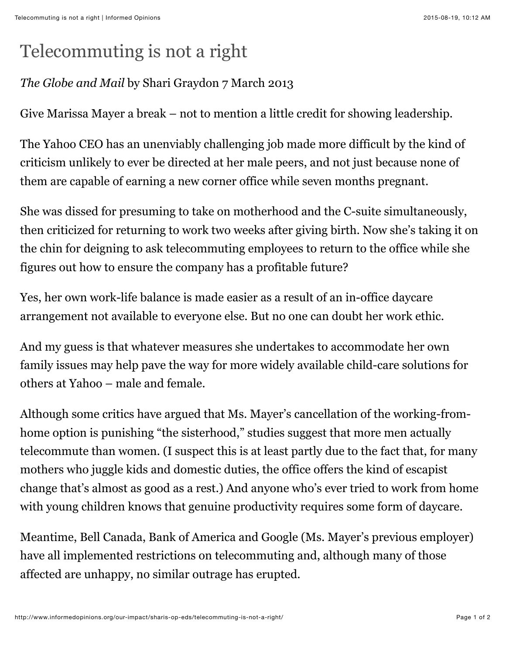## Telecommuting is not a right

## *The Globe and Mail* by Shari Graydon 7 March 2013

Give Marissa Mayer a break – not to mention a little credit for showing leadership.

The Yahoo CEO has an unenviably challenging job made more difficult by the kind of criticism unlikely to ever be directed at her male peers, and not just because none of them are capable of earning a new corner office while seven months pregnant.

She was dissed for presuming to take on motherhood and the C-suite simultaneously, then criticized for returning to work two weeks after giving birth. Now she's taking it on the chin for deigning to ask telecommuting employees to return to the office while she figures out how to ensure the company has a profitable future?

Yes, her own work-life balance is made easier as a result of an in-office daycare arrangement not available to everyone else. But no one can doubt her work ethic.

And my guess is that whatever measures she undertakes to accommodate her own family issues may help pave the way for more widely available child-care solutions for others at Yahoo – male and female.

Although some critics have argued that Ms. Mayer's cancellation of the working-fromhome option is punishing "the sisterhood," studies suggest that more men actually telecommute than women. (I suspect this is at least partly due to the fact that, for many mothers who juggle kids and domestic duties, the office offers the kind of escapist change that's almost as good as a rest.) And anyone who's ever tried to work from home with young children knows that genuine productivity requires some form of daycare.

Meantime, Bell Canada, Bank of America and Google (Ms. Mayer's previous employer) have all implemented restrictions on telecommuting and, although many of those affected are unhappy, no similar outrage has erupted.